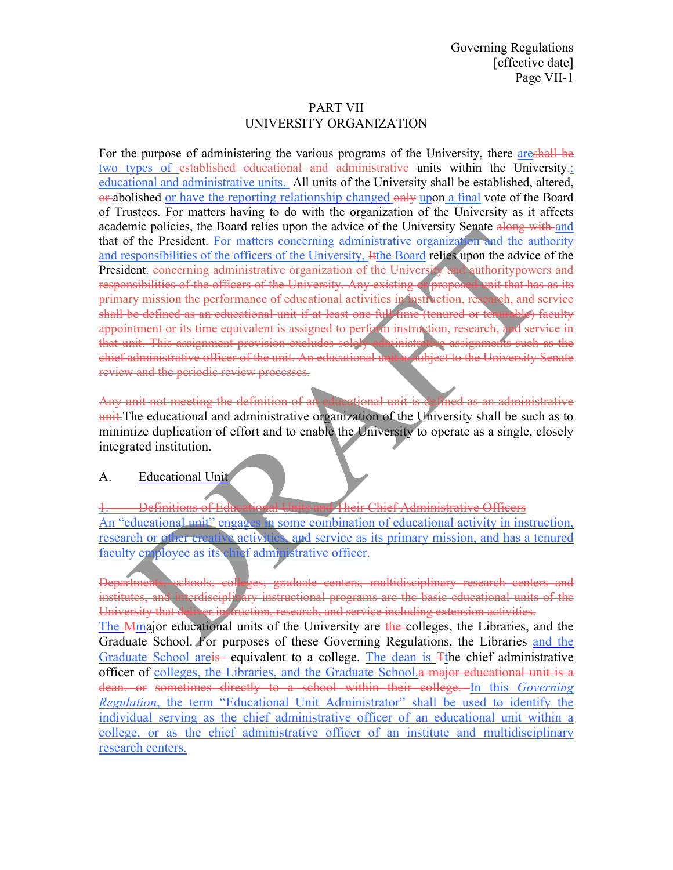# PART VII UNIVERSITY ORGANIZATION

For the purpose of administering the various programs of the University, there are shall be two types of established educational and administrative units within the University. educational and administrative units. All units of the University shall be established, altered, or-abolished or have the reporting relationship changed only upon a final vote of the Board of Trustees. For matters having to do with the organization of the University as it affects academic policies, the Board relies upon the advice of the University Senate along with and that of the President. For matters concerning administrative organization and the authority and responsibilities of the officers of the University, Itthe Board relies upon the advice of the President. concerning administrative organization of the University and authoritypowers and responsibilities of the officers of the University. Any existing or proposed unit that has as its primary mission the performance of educational activities in instruction, research, and service shall be defined as an educational unit if at least one full time (tenured or tenurable) faculty appointment or its time equivalent is assigned to perform instruction, research, and service in<br>that unit. This assignment provision excludes solely administrative assignments such as the that unit. This assignment provision excludes solely administrative assignments such as the chief administrative officer of the unit. An educational unit is subject to the University Senate chief administrative officer of the unit. An educational unit is review and the periodic review processes.

Any unit not meeting the definition of an educational unit is defined as an administrative unit. The educational and administrative organization of the University shall be such as to minimize duplication of effort and to enable the University to operate as a single, closely integrated institution.

#### A. Educational Unit

1. Definitions of Educational Units and Their Chief Administrative Officers An "educational unit" engages in some combination of educational activity in instruction, research or other creative activities, and service as its primary mission, and has a tenured faculty employee as its chief administrative officer.

Departments, schools, colleges, graduate centers, multidisciplinary research centers and institutes, and interdisciplinary instructional programs are the basic educational units of the University that deliver instruction, research, and service including extension activities. The Mmajor educational units of the University are the colleges, the Libraries, and the Graduate School. For purposes of these Governing Regulations, the Libraries and the Graduate School areis equivalent to a college. The dean is Tthe chief administrative officer of colleges, the Libraries, and the Graduate School.a major educational unit is a dean. or sometimes directly to a school within their college. In this *Governing Regulation*, the term "Educational Unit Administrator" shall be used to identify the individual serving as the chief administrative officer of an educational unit within a college, or as the chief administrative officer of an institute and multidisciplinary research centers.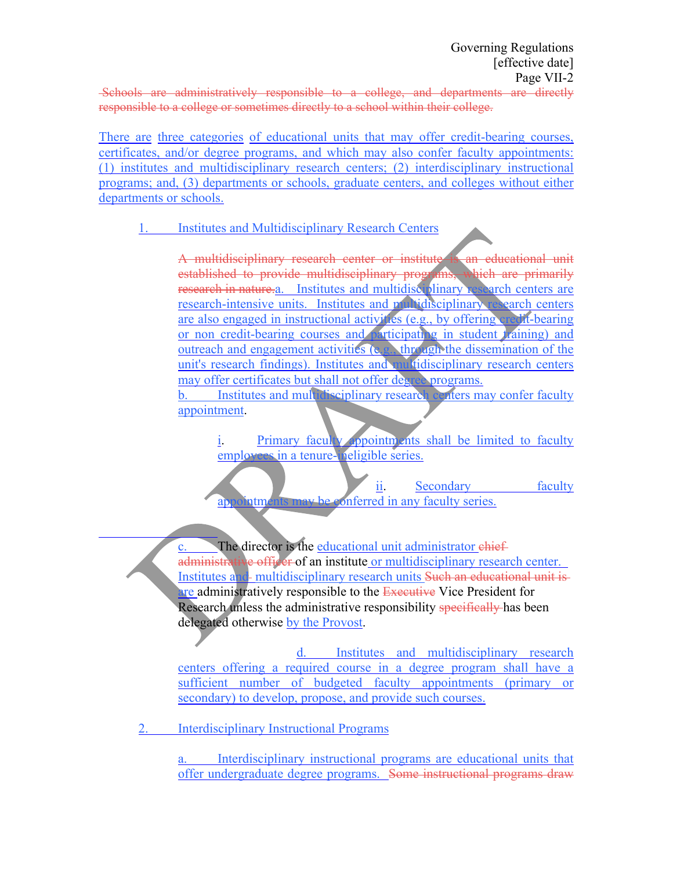Schools are administratively responsible to a college, and departments are directly responsible to a college or sometimes directly to a school within their college.

There are three categories of educational units that may offer credit-bearing courses, certificates, and/or degree programs, and which may also confer faculty appointments: (1) institutes and multidisciplinary research centers; (2) interdisciplinary instructional programs; and, (3) departments or schools, graduate centers, and colleges without either departments or schools.

# 1. Institutes and Multidisciplinary Research Centers

A multidisciplinary research center or institute is an educational unit established to provide multidisciplinary programs, which are primarily research in nature.a. Institutes and multidisciplinary research centers are research-intensive units. Institutes and multidisciplinary research centers are also engaged in instructional activities (e.g., by offering credit-bearing or non credit-bearing courses and participating in student *training*) and outreach and engagement activities (e.g., through the dissemination of the unit's research findings). Institutes and multidisciplinary research centers may offer certificates but shall not offer degree programs. b. Institutes and multidisciplinary research centers may confer faculty appointment.

i. Primary faculty appointments shall be limited to faculty employees in a tenure-ineligible series.

ii. Secondary faculty appointments may be conferred in any faculty series.

The director is the educational unit administrator chiefadministrative officer of an institute or multidisciplinary research center. Institutes and multidisciplinary research units Such an educational unit is are administratively responsible to the Executive Vice President for Research unless the administrative responsibility specifically has been delegated otherwise by the Provost.

d. Institutes and multidisciplinary research centers offering a required course in a degree program shall have a sufficient number of budgeted faculty appointments (primary or secondary) to develop, propose, and provide such courses.

2. Interdisciplinary Instructional Programs

a. Interdisciplinary instructional programs are educational units that offer undergraduate degree programs. Some instructional programs draw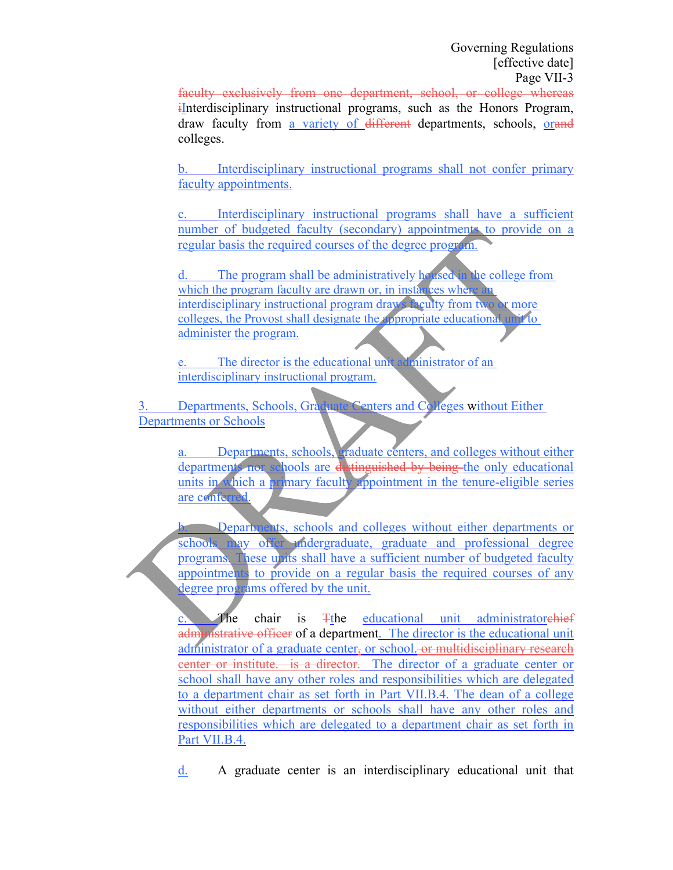faculty exclusively from one department, school, or college whereas iInterdisciplinary instructional programs, such as the Honors Program, draw faculty from a variety of different departments, schools, orand colleges.

b. Interdisciplinary instructional programs shall not confer primary faculty appointments.

c. Interdisciplinary instructional programs shall have a sufficient number of budgeted faculty (secondary) appointments to provide on a regular basis the required courses of the degree program.

d. The program shall be administratively housed in the college from which the program faculty are drawn or, in instances where interdisciplinary instructional program draws faculty from two or more colleges, the Provost shall designate the appropriate educational unit to administer the program.

e. The director is the educational unit administrator of an interdisciplinary instructional program.

3. Departments, Schools, Graduate Centers and Colleges without Either Departments or Schools

Departments, schools, graduate centers, and colleges without either departments nor schools are distinguished by being the only educational units in which a primary faculty appointment in the tenure-eligible series are conferred.

b. Departments, schools and colleges without either departments or schools may offer undergraduate, graduate and professional degree programs. These units shall have a sufficient number of budgeted faculty appointments to provide on a regular basis the required courses of any degree programs offered by the unit.

c. The chair is Tthe educational unit administratorchief administrative officer of a department. The director is the educational unit administrator of a graduate center, or school. or multidisciplinary research center or institute. is a director. The director of a graduate center or school shall have any other roles and responsibilities which are delegated to a department chair as set forth in Part VII.B.4. The dean of a college without either departments or schools shall have any other roles and responsibilities which are delegated to a department chair as set forth in Part VII.B.4.

d. A graduate center is an interdisciplinary educational unit that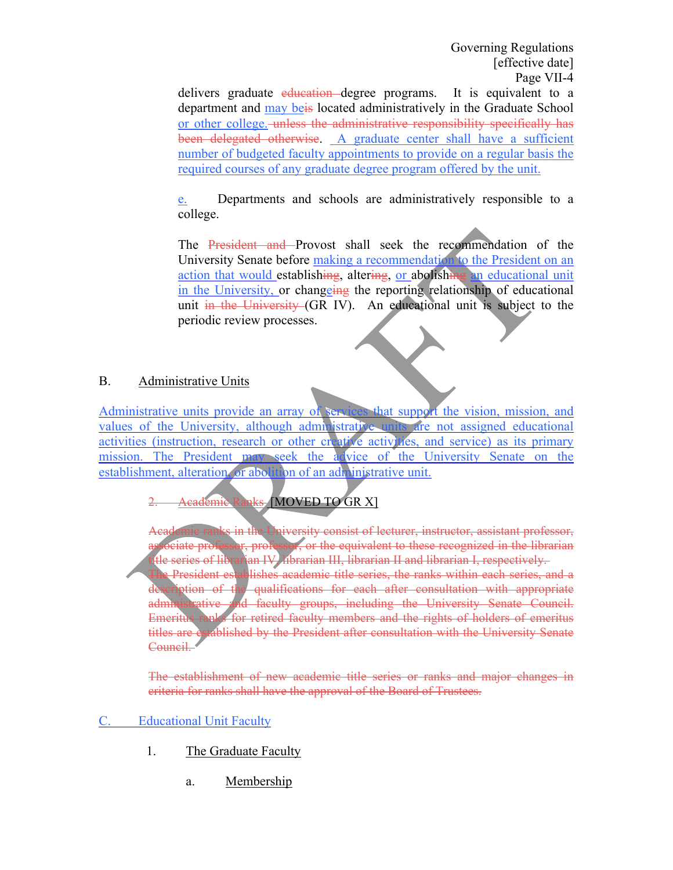delivers graduate education degree programs. It is equivalent to a department and may beis located administratively in the Graduate School or other college. unless the administrative responsibility specifically has been delegated otherwise. A graduate center shall have a sufficient number of budgeted faculty appointments to provide on a regular basis the required courses of any graduate degree program offered by the unit.

e. Departments and schools are administratively responsible to a college.

The President and Provost shall seek the recommendation of the University Senate before making a recommendation to the President on an action that would establishing, altering, or abolishing an educational unit in the University, or changeing the reporting relationship of educational unit in the University (GR IV). An educational unit is subject to the periodic review processes.

### B. Administrative Units

Administrative units provide an array of services that support the vision, mission, and values of the University, although administrative units are not assigned educational activities (instruction, research or other creative activities, and service) as its primary mission. The President may seek the advice of the University Senate on the establishment, alteration, or abolition of an administrative unit.

# 2. Academic Ranks [MOVED TO GR X]

**Aniversity consist of lecturer, instructor, assistant professor,** ciate professor, professor, or the equivalent to these recognized in the librarian the series of librarian IV, librarian III, librarian II and librarian I, respectively. President establishes academic title series, the ranks within each series, and a ption of the qualifications for each after consultation with appropriate administrative and faculty groups, including the University Senate Council. Emeritus ranks for retired faculty members and the rights of holders of emeritus titles are established by the President after consultation with the University Senate Council.

The establishment of new academic title series or ranks and major changes in criteria for ranks shall have the approval of the Board of Trustees.

# C. Educational Unit Faculty

- 1. The Graduate Faculty
	- a. Membership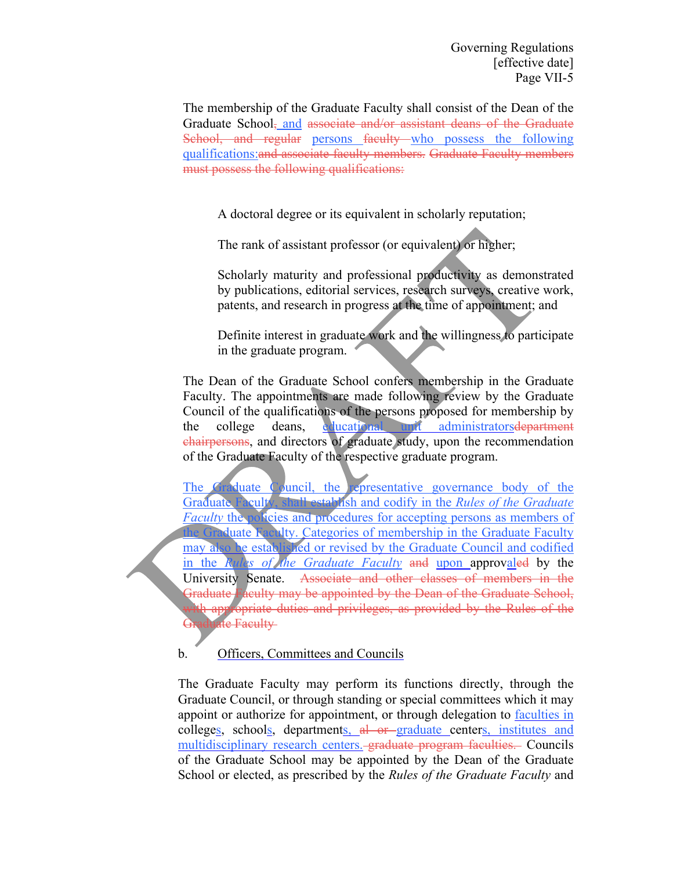The membership of the Graduate Faculty shall consist of the Dean of the Graduate School, and associate and/or assistant deans of the Graduate School, and regular persons faculty who possess the following qualifications:and associate faculty members. Graduate Faculty members must possess the following qualifications:

A doctoral degree or its equivalent in scholarly reputation;

The rank of assistant professor (or equivalent) or higher;

Scholarly maturity and professional productivity as demonstrated by publications, editorial services, research surveys, creative work, patents, and research in progress at the time of appointment; and

Definite interest in graduate work and the willingness to participate in the graduate program.

The Dean of the Graduate School confers membership in the Graduate Faculty. The appointments are made following review by the Graduate Council of the qualifications of the persons proposed for membership by the college deans, educational unit administratorsdepartment chairpersons, and directors of graduate study, upon the recommendation of the Graduate Faculty of the respective graduate program.

The Graduate Council, the representative governance body of the Graduate Faculty, shall establish and codify in the *Rules of the Graduate Faculty* the policies and procedures for accepting persons as members of the Graduate Faculty. Categories of membership in the Graduate Faculty may also be established or revised by the Graduate Council and codified in the *Rules of the Graduate Faculty* and upon approvaled by the University Senate. Associate and other classes of members in the Graduate Faculty may be appointed by the Dean of the Graduate School, th appropriate duties and privileges, as provided by the Rules of the ate Faculty

b. Officers, Committees and Councils

The Graduate Faculty may perform its functions directly, through the Graduate Council, or through standing or special committees which it may appoint or authorize for appointment, or through delegation to faculties in colleges, schools, departments, al or graduate centers, institutes and multidisciplinary research centers. graduate program faculties. Councils of the Graduate School may be appointed by the Dean of the Graduate School or elected, as prescribed by the *Rules of the Graduate Faculty* and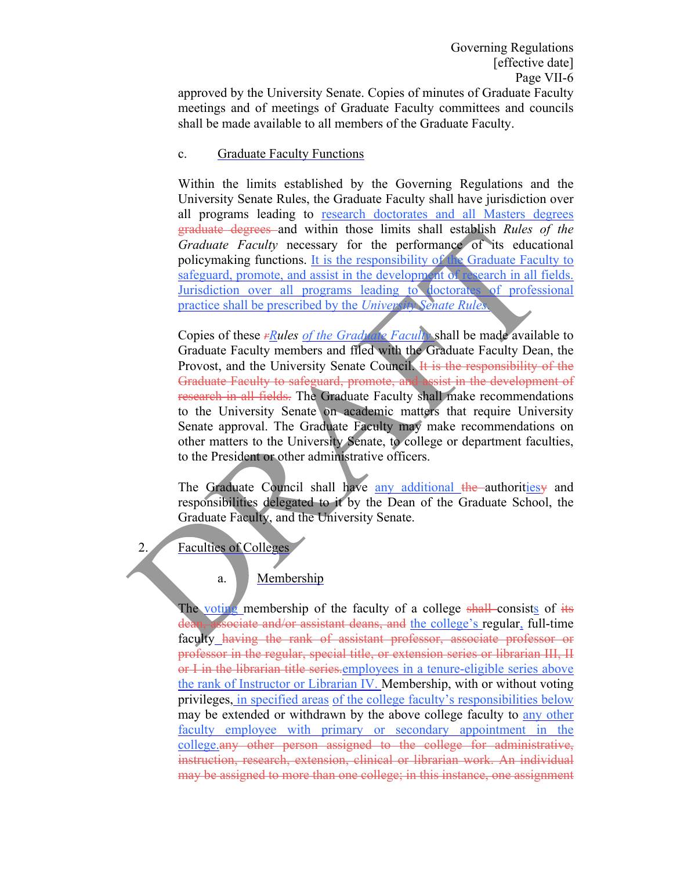approved by the University Senate. Copies of minutes of Graduate Faculty meetings and of meetings of Graduate Faculty committees and councils shall be made available to all members of the Graduate Faculty.

#### c. Graduate Faculty Functions

Within the limits established by the Governing Regulations and the University Senate Rules, the Graduate Faculty shall have jurisdiction over all programs leading to research doctorates and all Masters degrees graduate degrees and within those limits shall establish *Rules of the Graduate Faculty* necessary for the performance of its educational policymaking functions. It is the responsibility of the Graduate Faculty to safeguard, promote, and assist in the development of research in all fields. Jurisdiction over all programs leading to doctorates of professional practice shall be prescribed by the *University Senate Rules*.

Copies of these *rRules of the Graduate Faculty* shall be made available to Graduate Faculty members and filed with the Graduate Faculty Dean, the Provost, and the University Senate Council. It is the responsibility of the Graduate Faculty to safeguard, promote, and assist in the development of research in all fields. The Graduate Faculty shall make recommendations to the University Senate on academic matters that require University Senate approval. The Graduate Faculty may make recommendations on other matters to the University Senate, to college or department faculties, to the President or other administrative officers.

The Graduate Council shall have any additional the authorities and responsibilities delegated to it by the Dean of the Graduate School, the Graduate Faculty, and the University Senate.

2. Faculties of Colleges

# a. Membership

The voting membership of the faculty of a college shall consists of its associate and/or assistant deans, and the college's regular, full-time faculty having the rank of assistant professor, associate professor or professor in the regular, special title, or extension series or librarian III, II or I in the librarian title series.employees in a tenure-eligible series above the rank of Instructor or Librarian IV. Membership, with or without voting privileges, in specified areas of the college faculty's responsibilities below may be extended or withdrawn by the above college faculty to any other faculty employee with primary or secondary appointment in the college.any other person assigned to the college for administrative, instruction, research, extension, clinical or librarian work. An individual may be assigned to more than one college; in this instance, one assignment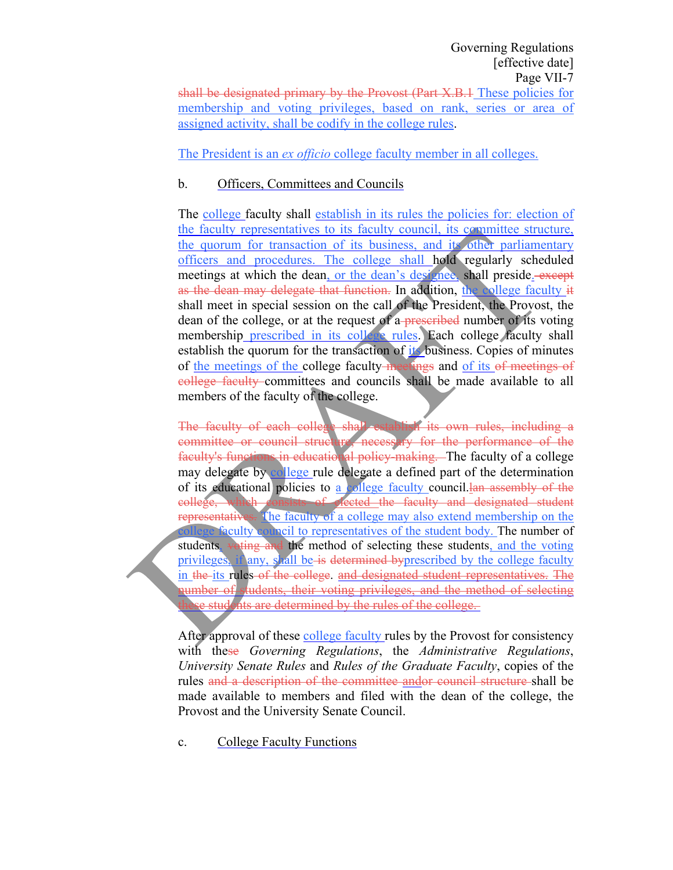The President is an *ex officio* college faculty member in all colleges.

# b. Officers, Committees and Councils

The college faculty shall establish in its rules the policies for: election of the faculty representatives to its faculty council, its committee structure, the quorum for transaction of its business, and its other parliamentary officers and procedures. The college shall hold regularly scheduled meetings at which the dean, or the dean's designee, shall preside. except as the dean may delegate that function. In addition, the college faculty it shall meet in special session on the call of the President, the Provost, the dean of the college, or at the request of a-prescribed number of its voting membership prescribed in its college rules. Each college faculty shall establish the quorum for the transaction of its business. Copies of minutes of the meetings of the college faculty meetings and of its of meetings of college faculty committees and councils shall be made available to all members of the faculty of the college.

The faculty of each college shall establish its own rules, including a committee or council structure, necessary for the performance of the faculty's functions in educational policy-making. The faculty of a college may delegate by college rule delegate a defined part of the determination of its educational policies to a college faculty council.lan assembly of the college, which consists of elected the faculty and designated student representatives. The faculty of a college may also extend membership on the college faculty council to representatives of the student body. The number of students, voting and the method of selecting these students, and the voting privileges, if any, shall be is determined byprescribed by the college faculty in the its rules of the college, and designated student representatives. The number of students, their voting privileges, and the method of selecting se students are determined by the rules of the college.

After approval of these college faculty rules by the Provost for consistency with these *Governing Regulations*, the *Administrative Regulations*, *University Senate Rules* and *Rules of the Graduate Faculty*, copies of the rules and a description of the committee andor council structure shall be made available to members and filed with the dean of the college, the Provost and the University Senate Council.

c. College Faculty Functions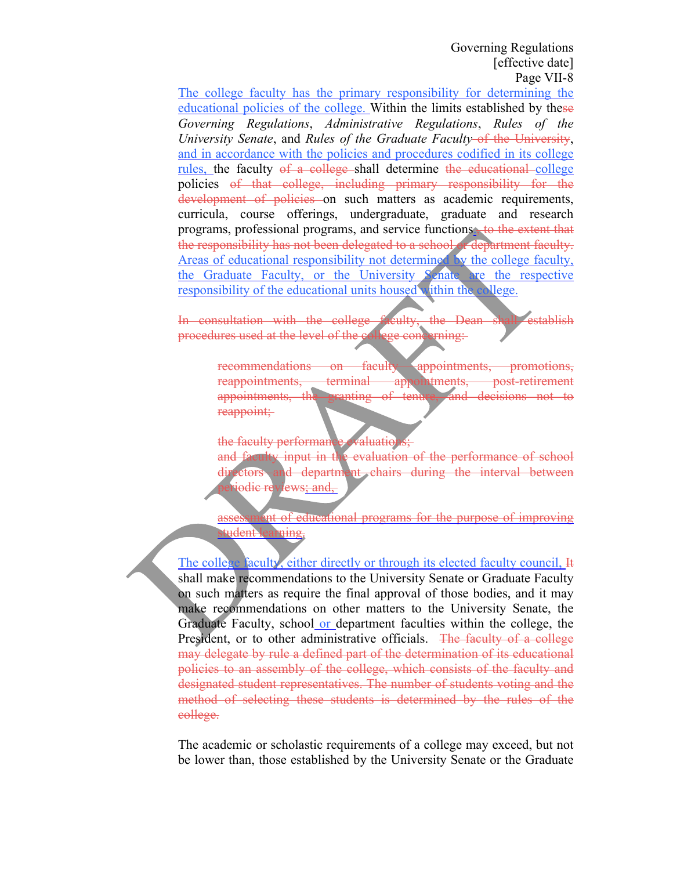The college faculty has the primary responsibility for determining the educational policies of the college. Within the limits established by these *Governing Regulations*, *Administrative Regulations*, *Rules of the University Senate*, and *Rules of the Graduate Faculty* of the University, and in accordance with the policies and procedures codified in its college rules, the faculty of a college shall determine the educational college policies of that college, including primary responsibility for the development of policies on such matters as academic requirements, curricula, course offerings, undergraduate, graduate and research programs, professional programs, and service functions., to the extent that the responsibility has not been delegated to a school or department faculty. Areas of educational responsibility not determined by the college faculty, the Graduate Faculty, or the University Senate are the respective responsibility of the educational units housed within the college.

In consultation with the college faculty, the Dean shall establish procedures used at the level of the college concerning:

> recommendations on faculty appointments, promotions, reappointments, terminal appointments, post-retirement appointments, the granting of tenure, and decisions not to reappoint;

the faculty performance evaluations;

and faculty input in the evaluation of the performance of school directors and department chairs during the interval between iodic reviews; and,

assessment of educational programs for the purpose of improving tudent learning.

The college faculty, either directly or through its elected faculty council, H shall make recommendations to the University Senate or Graduate Faculty on such matters as require the final approval of those bodies, and it may make recommendations on other matters to the University Senate, the Graduate Faculty, school or department faculties within the college, the President, or to other administrative officials. The faculty of a college may delegate by rule a defined part of the determination of its educational policies to an assembly of the college, which consists of the faculty and designated student representatives. The number of students voting and the method of selecting these students is determined by the rules of the college.

The academic or scholastic requirements of a college may exceed, but not be lower than, those established by the University Senate or the Graduate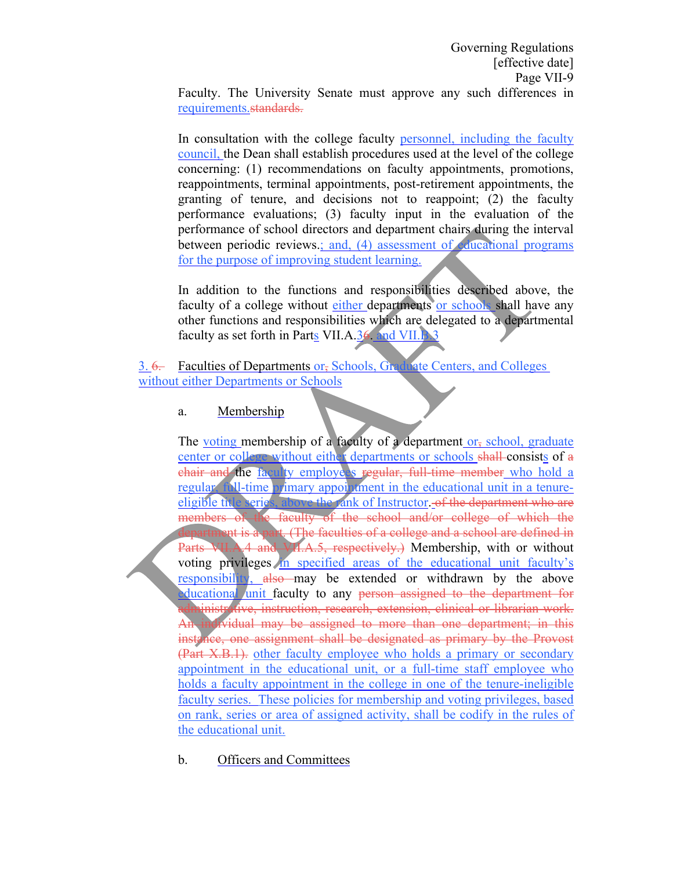Faculty. The University Senate must approve any such differences in requirements.standards.

In consultation with the college faculty personnel, including the faculty council, the Dean shall establish procedures used at the level of the college concerning: (1) recommendations on faculty appointments, promotions, reappointments, terminal appointments, post-retirement appointments, the granting of tenure, and decisions not to reappoint; (2) the faculty performance evaluations; (3) faculty input in the evaluation of the performance of school directors and department chairs during the interval between periodic reviews.; and, (4) assessment of educational programs for the purpose of improving student learning.

In addition to the functions and responsibilities described above, the faculty of a college without either departments or schools shall have any other functions and responsibilities which are delegated to a departmental faculty as set forth in Parts VII.A.36. and VII.B.3

3. 6. Faculties of Departments or, Schools, Graduate Centers, and Colleges without either Departments or Schools

#### a. Membership

The voting membership of a faculty of a department or, school, graduate center or college without either departments or schools shall consists of a chair and the faculty employers regular, full-time member who hold a regular, full-time primary appointment in the educational unit in a tenureeligible title series, above the rank of Instructor. of the department who are members of the faculty of the school and/or college of which the nt is a part. (The faculties of a college and a school are defined in Parts VII.A.4 and VII.A.5, respectively.) Membership, with or without voting privileges in specified areas of the educational unit faculty's responsibility, also may be extended or withdrawn by the above educational unit faculty to any person assigned to the department for inistrative, instruction, research, extension, clinical or librarian work. dividual may be assigned to more than one department; in this instance, one assignment shall be designated as primary by the Provost (Part X.B.1). other faculty employee who holds a primary or secondary appointment in the educational unit, or a full-time staff employee who holds a faculty appointment in the college in one of the tenure-ineligible faculty series. These policies for membership and voting privileges, based on rank, series or area of assigned activity, shall be codify in the rules of the educational unit.

# b. Officers and Committees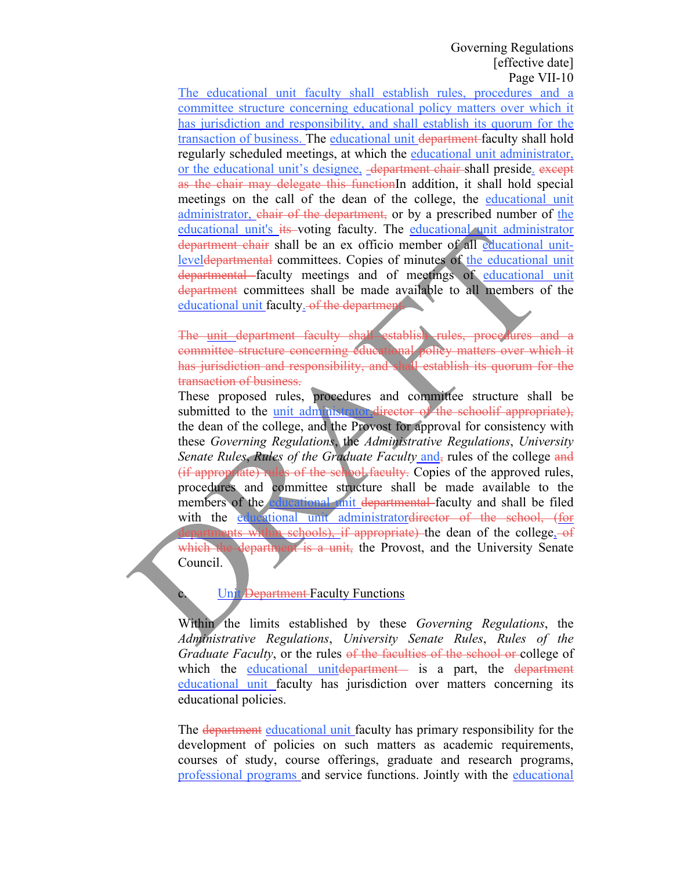The educational unit faculty shall establish rules, procedures and a committee structure concerning educational policy matters over which it has jurisdiction and responsibility, and shall establish its quorum for the transaction of business. The educational unit department faculty shall hold regularly scheduled meetings, at which the educational unit administrator, or the educational unit's designee, department chair-shall preside. except as the chair may delegate this functionIn addition, it shall hold special meetings on the call of the dean of the college, the educational unit administrator, chair of the department, or by a prescribed number of the educational unit's its voting faculty. The educational unit administrator department chair shall be an ex officio member of all educational unitleveldepartmental committees. Copies of minutes of the educational unit departmental faculty meetings and of meetings of educational unit department committees shall be made available to all members of the educational unit faculty. of the department

The unit department faculty shall establish rules, procedures and a committee structure concerning educational policy matters over which it has jurisdiction and responsibility, and shall establish its quorum for the transaction of business.

These proposed rules, procedures and committee structure shall be submitted to the unit administrator, director of the schoolif appropriate), the dean of the college, and the Provost for approval for consistency with these *Governing Regulations*, the *Administrative Regulations*, *University Senate Rules, Rules of the Graduate Faculty* and, rules of the college and (if appropriate) rules of the school faculty. Copies of the approved rules, procedures and committee structure shall be made available to the members of the educational unit departmental faculty and shall be filed with the educational unit administratordirector of the school, (for schools), if appropriate) the dean of the college,  $-$ of which the department is a unit, the Provost, and the University Senate Council.

### Unit Department Faculty Functions

Within the limits established by these *Governing Regulations*, the *Administrative Regulations*, *University Senate Rules*, *Rules of the Graduate Faculty*, or the rules of the faculties of the school or college of which the educational unitelepartment— is a part, the department educational unit faculty has jurisdiction over matters concerning its educational policies.

The department educational unit faculty has primary responsibility for the development of policies on such matters as academic requirements, courses of study, course offerings, graduate and research programs, professional programs and service functions. Jointly with the educational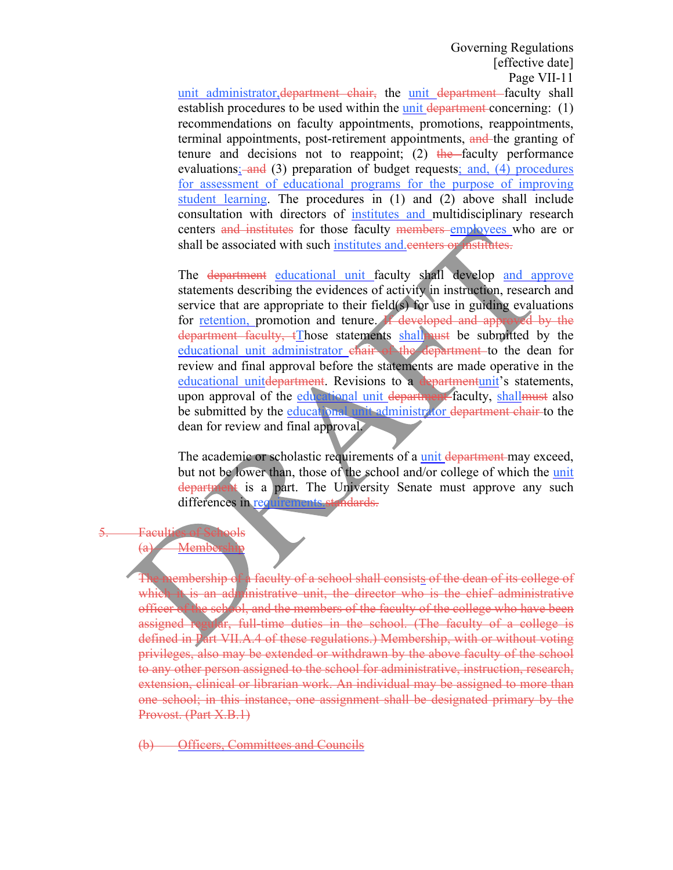unit administrator, department chair, the unit department faculty shall establish procedures to be used within the unit department concerning: (1) recommendations on faculty appointments, promotions, reappointments, terminal appointments, post-retirement appointments, and the granting of tenure and decisions not to reappoint; (2) the faculty performance evaluations; and (3) preparation of budget requests; and, (4) procedures for assessment of educational programs for the purpose of improving student learning. The procedures in (1) and (2) above shall include consultation with directors of institutes and multidisciplinary research centers and institutes for those faculty members employees who are or shall be associated with such institutes and eenters or institutes.

The department educational unit faculty shall develop and approve statements describing the evidences of activity in instruction, research and service that are appropriate to their field(s) for use in guiding evaluations for retention, promotion and tenure. If developed and approved by the department faculty, tThose statements shall must be submitted by the educational unit administrator chair of the department to the dean for review and final approval before the statements are made operative in the educational unitdepartment. Revisions to a departmentunit's statements, upon approval of the educational unit department faculty, shall must also be submitted by the educational unit administrator department chair to the dean for review and final approval.

The academic or scholastic requirements of a unit department may exceed, but not be lower than, those of the school and/or college of which the unit department is a part. The University Senate must approve any such differences in requirements standards.

#### 5. Faculties of Schools  $(a)$  Membership

The membership of a faculty of a school shall consists of the dean of its college of which it is an administrative unit, the director who is the chief administrative officer of the school, and the members of the faculty of the college who have been assigned regular, full-time duties in the school. (The faculty of a college is defined in Part VII.A.4 of these regulations.) Membership, with or without voting privileges, also may be extended or withdrawn by the above faculty of the school to any other person assigned to the school for administrative, instruction, research, extension, clinical or librarian work. An individual may be assigned to more than one school; in this instance, one assignment shall be designated primary by the Provost. (Part X.B.1)

**Officers, Committees and Councils**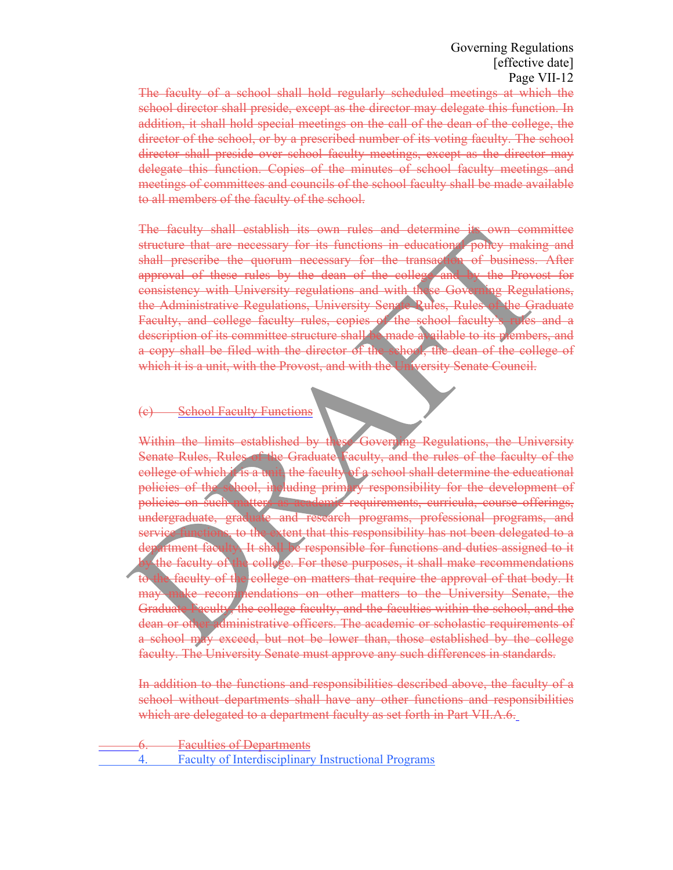The faculty of a school shall hold regularly scheduled meetings at which the school director shall preside, except as the director may delegate this function. In addition, it shall hold special meetings on the call of the dean of the college, the director of the school, or by a prescribed number of its voting faculty. The school director shall preside over school faculty meetings, except as the director may delegate this function. Copies of the minutes of school faculty meetings and meetings of committees and councils of the school faculty shall be made available to all members of the faculty of the school.

The faculty shall establish its own rules and determine its own committee structure that are necessary for its functions in educational policy making and shall prescribe the quorum necessary for the transaction of business. After approval of these rules by the dean of the college and by the Provost for consistency with University regulations and with these Governing Regulations, the Administrative Regulations, University Senate Rules, Rules of the Graduate Faculty, and college faculty rules, copies of the school faculty's rules and a description of its committee structure shall be made available to its prembers, and a copy shall be filed with the director of the school, the dean of the college of which it is a unit, with the Provost, and with the University Senate Council.

#### (c) School Faculty Functions

Within the limits established by these Governing Regulations, the University Senate Rules, Rules of the Graduate Faculty, and the rules of the faculty of the college of which it is a unit, the faculty of a school shall determine the educational policies of the school, including primary responsibility for the development of policies on such matters as academic requirements, curricula, course offerings, undergraduate, graduate and research programs, professional programs, and service functions, to the extent that this responsibility has not been delegated to a department faculty. It shall be responsible for functions and duties assigned to it the faculty of the college. For these purposes, it shall make recommendations to the faculty of the college on matters that require the approval of that body. It may make recommendations on other matters to the University Senate, the Graduate Faculty, the college faculty, and the faculties within the school, and the dean or other administrative officers. The academic or scholastic requirements of a school may exceed, but not be lower than, those established by the college faculty. The University Senate must approve any such differences in standards.

In addition to the functions and responsibilities described above, the faculty of a school without departments shall have any other functions and responsibilities which are delegated to a department faculty as set forth in Part VII.A.6.

**Faculties of Departments** 4. Faculty of Interdisciplinary Instructional Programs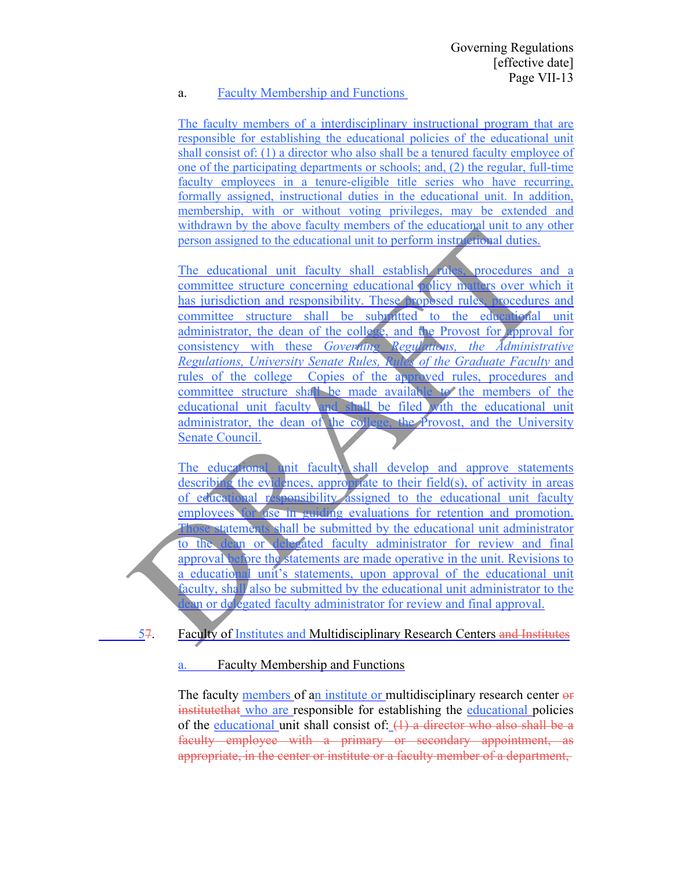### a. Faculty Membership and Functions

The faculty members of a interdisciplinary instructional program that are responsible for establishing the educational policies of the educational unit shall consist of: (1) a director who also shall be a tenured faculty employee of one of the participating departments or schools; and, (2) the regular, full-time faculty employees in a tenure-eligible title series who have recurring, formally assigned, instructional duties in the educational unit. In addition, membership, with or without voting privileges, may be extended and withdrawn by the above faculty members of the educational unit to any other person assigned to the educational unit to perform instructional duties.

The educational unit faculty shall establish rules, procedures and a committee structure concerning educational policy matters over which it has jurisdiction and responsibility. These proposed rules, procedures and committee structure shall be submitted to the educational unit administrator, the dean of the college, and the Provost for approval for consistency with these *Governing Regulations, the Administrative Regulations, University Senate Rules, Rules of the Graduate Faculty* and rules of the college Copies of the approved rules, procedures and committee structure shall be made available to the members of the educational unit faculty and shall be filed with the educational unit administrator, the dean of the college, the Provost, and the University Senate Council.

The educational unit faculty shall develop and approve statements describing the evidences, appropriate to their field(s), of activity in areas of educational responsibility assigned to the educational unit faculty employees for use in guiding evaluations for retention and promotion. Those statements shall be submitted by the educational unit administrator to the dean or delegated faculty administrator for review and final approval before the statements are made operative in the unit. Revisions to a educational unit's statements, upon approval of the educational unit faculty, shall also be submitted by the educational unit administrator to the dean or delegated faculty administrator for review and final approval.

- - 57. Faculty of Institutes and Multidisciplinary Research Centers and Institutes

a. Faculty Membership and Functions

The faculty members of an institute or multidisciplinary research center  $\theta$ institutethat who are responsible for establishing the educational policies of the educational unit shall consist of:  $(1)$  a director who also shall be a faculty employee with a primary or secondary appointment, as appropriate, in the center or institute or a faculty member of a department,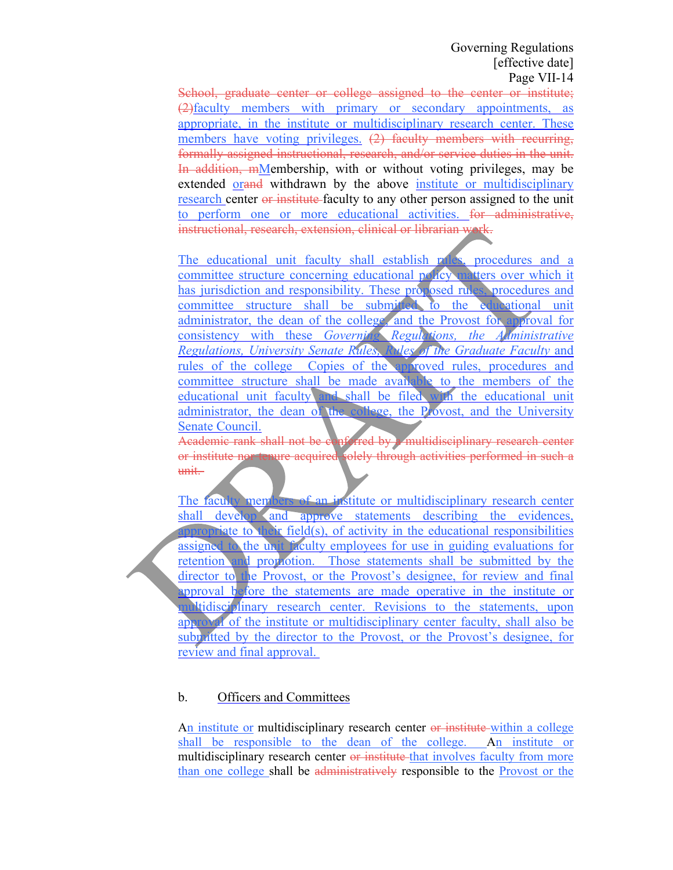School, graduate center or college assigned to the center or institute; (2)faculty members with primary or secondary appointments, as appropriate, in the institute or multidisciplinary research center. These members have voting privileges. (2) faculty members with recurring, formally assigned instructional, research, and/or service duties in the unit. In addition, mMembership, with or without voting privileges, may be extended orange withdrawn by the above institute or multidisciplinary research center or institute faculty to any other person assigned to the unit to perform one or more educational activities. for administrative, instructional, research, extension, clinical or librarian work.

The educational unit faculty shall establish rules, procedures and a committee structure concerning educational policy matters over which it has jurisdiction and responsibility. These proposed rules, procedures and committee structure shall be submitted to the educational unit administrator, the dean of the college, and the Provost for approval for consistency with these *Governing Regulations, the Administrative Regulations, University Senate Rules, Rules of the Graduate Faculty* and rules of the college Copies of the approved rules, procedures and committee structure shall be made available to the members of the educational unit faculty and shall be filed with the educational unit administrator, the dean of the college, the Provost, and the University Senate Council.

Academic rank shall not be conferred by a multidisciplinary research center or institute nor tenure acquired solely through activities performed in such a unit.

The faculty members of an institute or multidisciplinary research center shall develop and approve statements describing the evidences, appropriate to their field(s), of activity in the educational responsibilities assigned to the unit faculty employees for use in guiding evaluations for retention and proportion. Those statements shall be submitted by the director to the Provost, or the Provost's designee, for review and final approval before the statements are made operative in the institute or multidisciplinary research center. Revisions to the statements, upon approval of the institute or multidisciplinary center faculty, shall also be subplitted by the director to the Provost, or the Provost's designee, for review and final approval.

# b. Officers and Committees

An institute or multidisciplinary research center or institute within a college shall be responsible to the dean of the college. An institute or multidisciplinary research center or institute that involves faculty from more than one college shall be administratively responsible to the Provost or the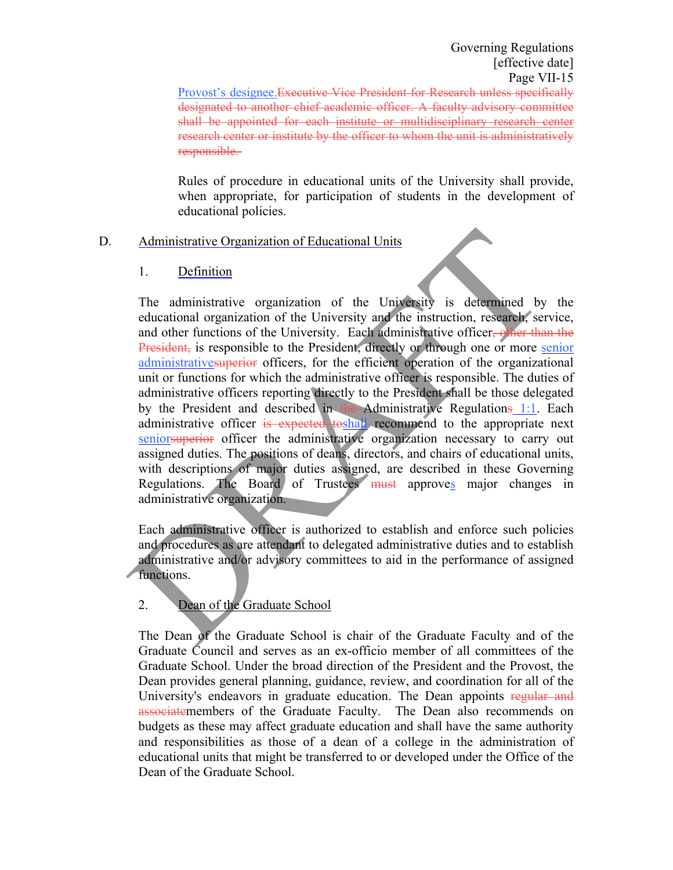Provost's designee.Executive Vice President for Research unless specifically designated to another chief academic officer. A faculty advisory committee shall be appointed for each institute or multidisciplinary research center research center or institute by the officer to whom the unit is administratively responsible.

Rules of procedure in educational units of the University shall provide, when appropriate, for participation of students in the development of educational policies.

### D. Administrative Organization of Educational Units

# 1. Definition

The administrative organization of the University is determined by the educational organization of the University and the instruction, research, service, and other functions of the University. Each administrative officer<del>, other than the</del> President, is responsible to the President, directly or through one or more senior administrativesuperior officers, for the efficient operation of the organizational unit or functions for which the administrative officer is responsible. The duties of administrative officers reporting directly to the President shall be those delegated by the President and described in the Administrative Regulations 1:1. Each administrative officer is expected toshall recommend to the appropriate next seniorsuperior officer the administrative organization necessary to carry out assigned duties. The positions of deans, directors, and chairs of educational units, with descriptions of major duties assigned, are described in these Governing Regulations. The Board of Trustees must approves major changes in administrative organization.

Each administrative officer is authorized to establish and enforce such policies and procedures as are attendant to delegated administrative duties and to establish administrative and/or advisory committees to aid in the performance of assigned functions.

# 2. Dean of the Graduate School

The Dean of the Graduate School is chair of the Graduate Faculty and of the Graduate Council and serves as an ex-officio member of all committees of the Graduate School. Under the broad direction of the President and the Provost, the Dean provides general planning, guidance, review, and coordination for all of the University's endeavors in graduate education. The Dean appoints regular and associatemembers of the Graduate Faculty. The Dean also recommends on budgets as these may affect graduate education and shall have the same authority and responsibilities as those of a dean of a college in the administration of educational units that might be transferred to or developed under the Office of the Dean of the Graduate School.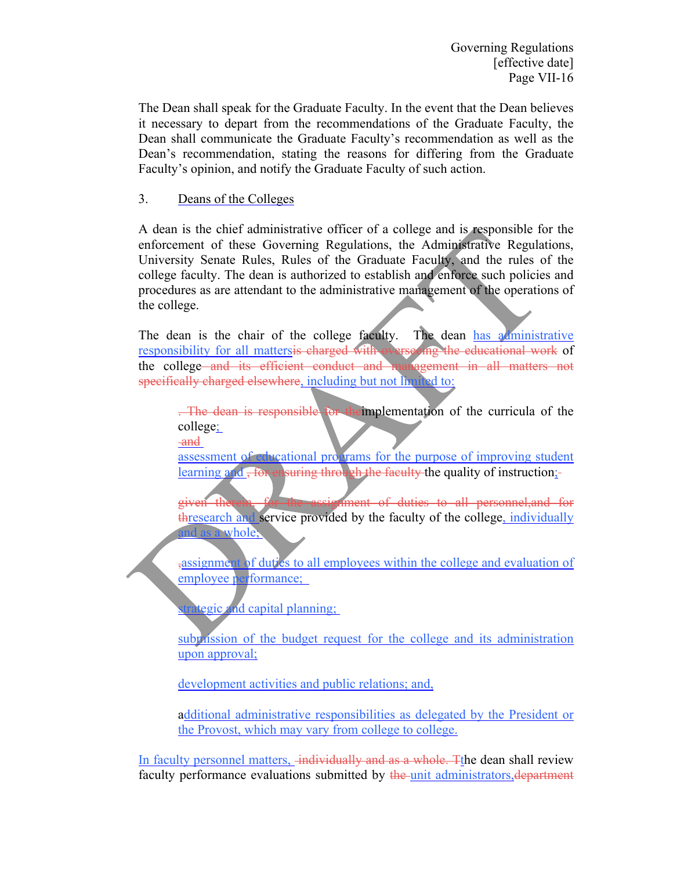The Dean shall speak for the Graduate Faculty. In the event that the Dean believes it necessary to depart from the recommendations of the Graduate Faculty, the Dean shall communicate the Graduate Faculty's recommendation as well as the Dean's recommendation, stating the reasons for differing from the Graduate Faculty's opinion, and notify the Graduate Faculty of such action.

# 3. Deans of the Colleges

A dean is the chief administrative officer of a college and is responsible for the enforcement of these Governing Regulations, the Administrative Regulations, University Senate Rules, Rules of the Graduate Faculty, and the rules of the college faculty. The dean is authorized to establish and enforce such policies and procedures as are attendant to the administrative management of the operations of the college.

The dean is the chair of the college faculty. The dean has administrative responsibility for all mattersis charged with overseeing the educational work of the college and its efficient conduct and management in all matters not specifically charged elsewhere, including but not limited to:

. The dean is responsible for theimplementation of the curricula of the college; and

assessment of educational programs for the purpose of improving student learning and , for ensuring through the faculty the quality of instruction;-

given therein, for the assignment of duties to all personnel,and for thresearch and service provided by the faculty of the college, individually d as a whole;

,assignment of duties to all employees within the college and evaluation of employee performance;

trategic and capital planning;

subprission of the budget request for the college and its administration upon approval;

development activities and public relations; and,

additional administrative responsibilities as delegated by the President or the Provost, which may vary from college to college.

In faculty personnel matters, individually and as a whole. The dean shall review faculty performance evaluations submitted by the unit administrators, department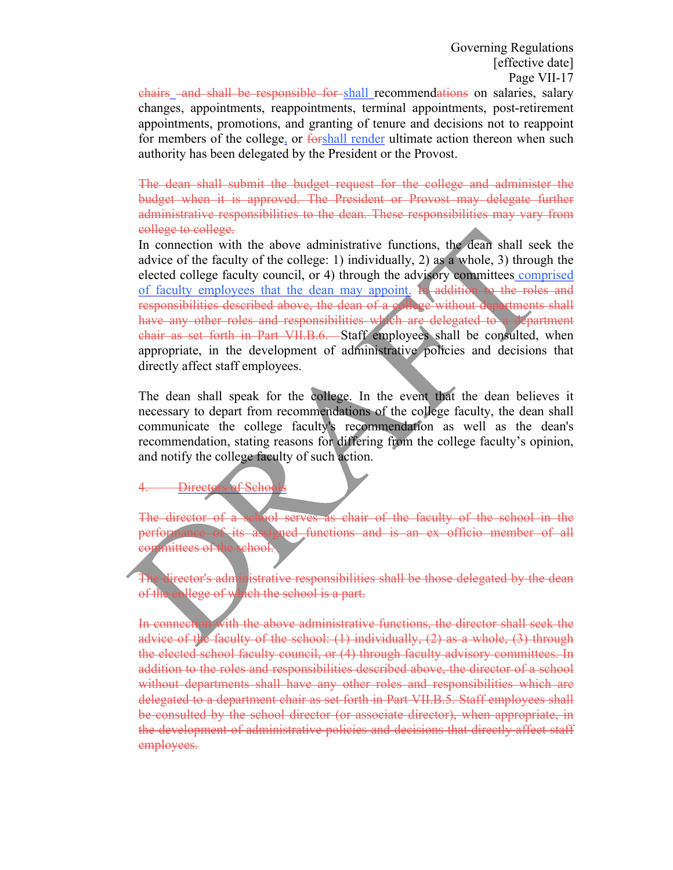chairs and shall be responsible for shall recommendations on salaries, salary changes, appointments, reappointments, terminal appointments, post-retirement appointments, promotions, and granting of tenure and decisions not to reappoint for members of the college, or forshall render ultimate action thereon when such authority has been delegated by the President or the Provost.

The dean shall submit the budget request for the college and administer the budget when it is approved. The President or Provost may delegate further administrative responsibilities to the dean. These responsibilities may vary from college to college.

In connection with the above administrative functions, the dean shall seek the advice of the faculty of the college: 1) individually, 2) as a whole, 3) through the elected college faculty council, or 4) through the advisory committees comprised of faculty employees that the dean may appoint. In addition to the roles and responsibilities described above, the dean of a college without departments shall have any other roles and responsibilities which are delegated to a department chair as set forth in Part VII.B.6. Staff employees shall be consulted, when appropriate, in the development of administrative policies and decisions that directly affect staff employees.

The dean shall speak for the college. In the event that the dean believes it necessary to depart from recommendations of the college faculty, the dean shall communicate the college faculty's recommendation as well as the dean's recommendation, stating reasons for differing from the college faculty's opinion, and notify the college faculty of such action.

 $f$ . Scho

The director of a school serves as chair of the faculty of the school in the performance of its assigned functions and is an ex officio member of all committees of the school.

irector's administrative responsibilities shall be those delegated by the dean of the college of which the school is a part.

In connection with the above administrative functions, the director shall seek the advice of the faculty of the school: (1) individually, (2) as a whole, (3) through the elected school faculty council, or (4) through faculty advisory committees. In addition to the roles and responsibilities described above, the director of a school without departments shall have any other roles and responsibilities which are delegated to a department chair as set forth in Part VII.B.5. Staff employees shall be consulted by the school director (or associate director), when appropriate, in the development of administrative policies and decisions that directly affect staff employees.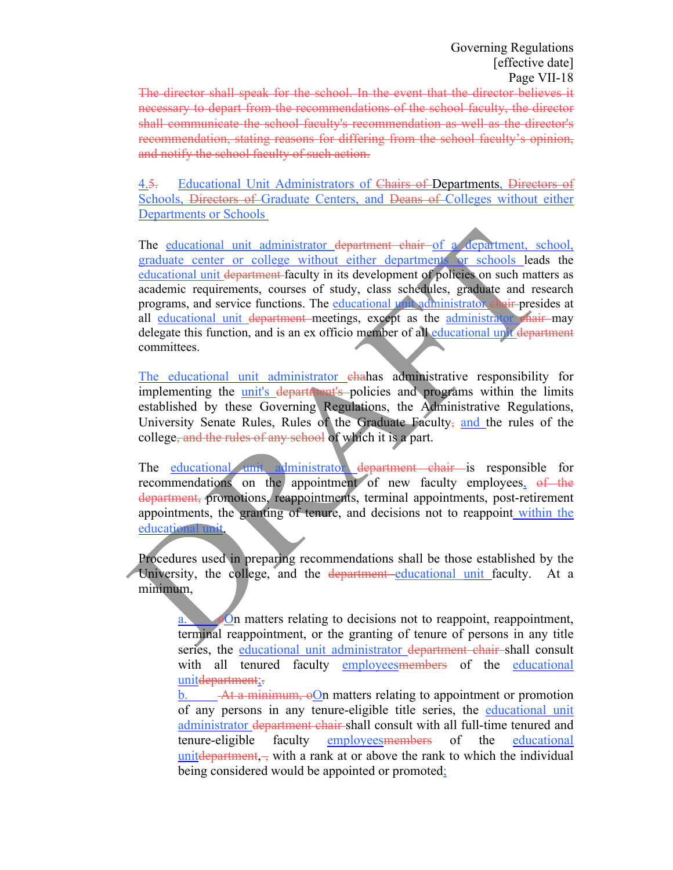The director shall speak for the school. In the event that the director believes it necessary to depart from the recommendations of the school faculty, the director shall communicate the school faculty's recommendation as well as the director's recommendation, stating reasons for differing from the school faculty's opinion, and notify the school faculty of such action.

4.5. Educational Unit Administrators of Chairs of Departments, Directors of Schools, Directors of Graduate Centers, and Deans of Colleges without either Departments or Schools

The educational unit administrator department chair of a department, school, graduate center or college without either departments or schools leads the educational unit department faculty in its development of policies on such matters as academic requirements, courses of study, class schedules, graduate and research programs, and service functions. The educational unit administrator chair presides at all educational unit department meetings, except as the administrator chair may delegate this function, and is an ex officio member of all educational unit department committees.

The educational unit administrator ehahas administrative responsibility for implementing the unit's department's policies and programs within the limits established by these Governing Regulations, the Administrative Regulations, University Senate Rules, Rules of the Graduate Faculty- and the rules of the college, and the rules of any school of which it is a part.

The educational unit administrator department chair is responsible for recommendations on the appointment of new faculty employees, of the department, promotions, reappointments, terminal appointments, post-retirement appointments, the granting of tenure, and decisions not to reappoint within the educational unit.

Procedures used in preparing recommendations shall be those established by the University, the college, and the department educational unit faculty. At a minimum,

> $\Theta$ . oon matters relating to decisions not to reappoint, reappointment, terminal reappointment, or the granting of tenure of persons in any title series, the educational unit administrator department chair shall consult with all tenured faculty employees members of the educational unitdepartment;

> b. At a minimum,  $\Theta$  m matters relating to appointment or promotion of any persons in any tenure-eligible title series, the educational unit administrator department chair shall consult with all full-time tenured and tenure-eligible faculty employeesmembers of the educational united  $d$  and  $m$ , with a rank at or above the rank to which the individual being considered would be appointed or promoted;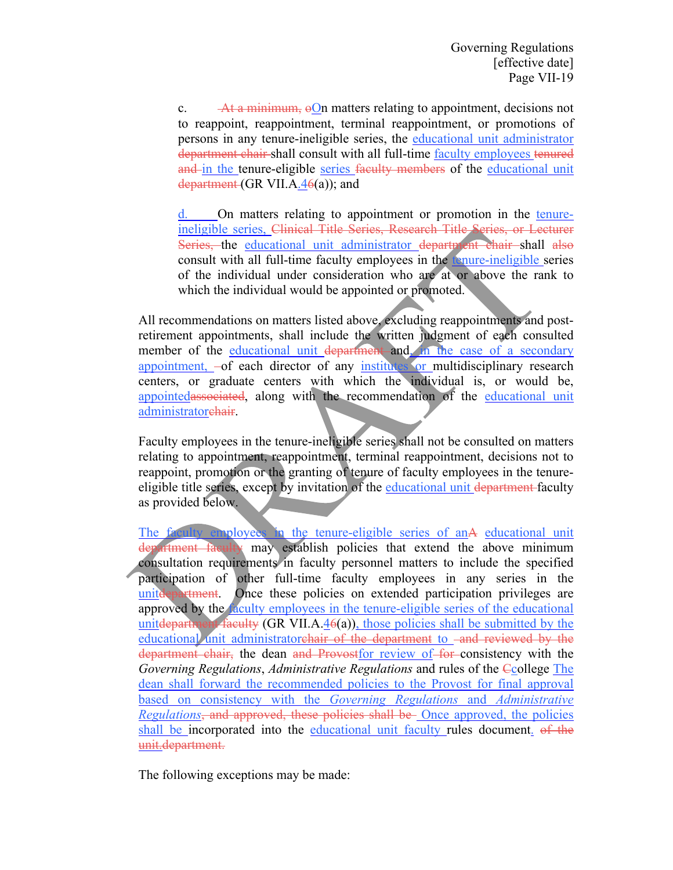c.  $\overrightarrow{At a minimum}$ ,  $\Theta$ On matters relating to appointment, decisions not to reappoint, reappointment, terminal reappointment, or promotions of persons in any tenure-ineligible series, the educational unit administrator department chair shall consult with all full-time faculty employees tenured and in the tenure-eligible series faculty members of the educational unit department (GR VII.A.46(a)); and

d. On matters relating to appointment or promotion in the tenureineligible series, Clinical Title Series, Research Title Series, or Lecturer Series, the educational unit administrator department chair shall also consult with all full-time faculty employees in the tenure-ineligible series of the individual under consideration who are at or above the rank to which the individual would be appointed or promoted.

All recommendations on matters listed above, excluding reappointments and postretirement appointments, shall include the written judgment of each consulted member of the educational unit department and, in the case of a secondary appointment, -of each director of any institutes or multidisciplinary research centers, or graduate centers with which the individual is, or would be, appointedassociated, along with the recommendation of the educational unit administratorehair.

Faculty employees in the tenure-ineligible series shall not be consulted on matters relating to appointment, reappointment, terminal reappointment, decisions not to reappoint, promotion or the granting of tenure of faculty employees in the tenureeligible title series, except by invitation of the educational unit department faculty as provided below.

The faculty employees in the tenure-eligible series of anA educational unit department faculty may establish policies that extend the above minimum consultation requirements in faculty personnel matters to include the specified participation of other full-time faculty employees in any series in the unite department. Once these policies on extended participation privileges are approved by the faculty employees in the tenure-eligible series of the educational united by the unit of the unity (GR VII.A.4 $\theta$ (a)), those policies shall be submitted by the educational unit administratorchair of the department to -and reviewed by the department chair, the dean and Provostfor review of for consistency with the *Governing Regulations*, *Administrative Regulations* and rules of the Ccollege The dean shall forward the recommended policies to the Provost for final approval based on consistency with the *Governing Regulations* and *Administrative Regulations*, and approved, these policies shall be Once approved, the policies shall be incorporated into the educational unit faculty rules document. of the unit.department.

The following exceptions may be made: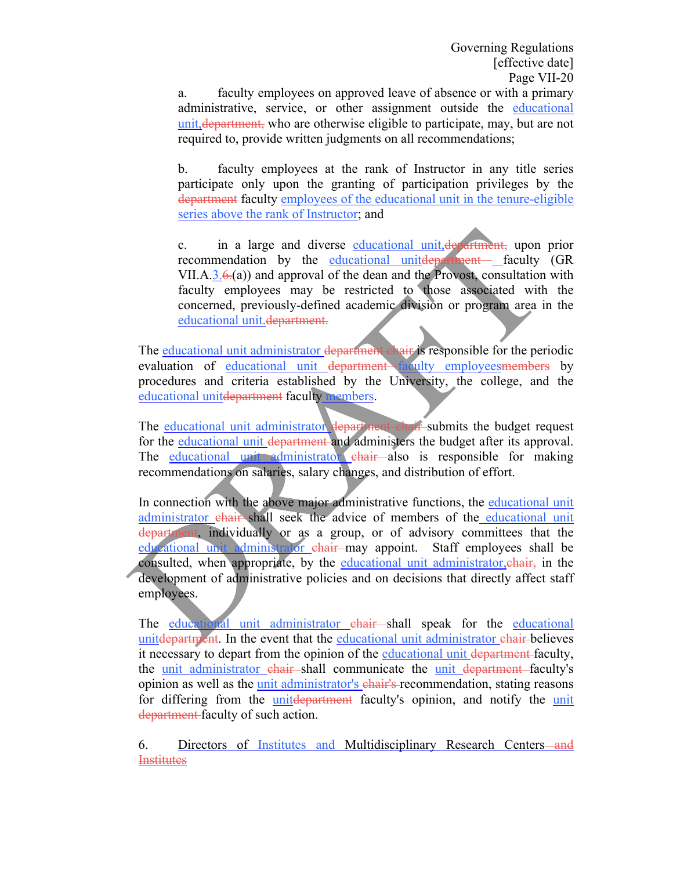a. faculty employees on approved leave of absence or with a primary administrative, service, or other assignment outside the educational unit,department, who are otherwise eligible to participate, may, but are not required to, provide written judgments on all recommendations;

b. faculty employees at the rank of Instructor in any title series participate only upon the granting of participation privileges by the department faculty employees of the educational unit in the tenure-eligible series above the rank of Instructor; and

c. in a large and diverse educational unit, department, upon prior recommendation by the educational unitdepartment faculty (GR VII.A.3.6.(a)) and approval of the dean and the Provost, consultation with faculty employees may be restricted to those associated with the concerned, previously-defined academic division or program area in the educational unit.department.

The educational unit administrator department chair is responsible for the periodic evaluation of <u>educational unit department faculty employeesmembers</u> by procedures and criteria established by the University, the college, and the educational unitdepartment faculty members.

The educational unit administrator department chair submits the budget request for the educational unit department and administers the budget after its approval. The educational unit administrator chair also is responsible for making recommendations on salaries, salary changes, and distribution of effort.

In connection with the above major administrative functions, the educational unit administrator chair shall seek the advice of members of the educational unit department, individually or as a group, or of advisory committees that the educational unit administrator chair may appoint. Staff employees shall be consulted, when appropriate, by the educational unit administrator, chair, in the development of administrative policies and on decisions that directly affect staff employees.

The educational unit administrator chair shall speak for the educational united alternaturent. In the event that the educational unit administrator chair-believes it necessary to depart from the opinion of the educational unit department faculty, the unit administrator chair shall communicate the unit department faculty's opinion as well as the unit administrator's chair's recommendation, stating reasons for differing from the unitdepartment faculty's opinion, and notify the unit department faculty of such action.

6. Directors of Institutes and Multidisciplinary Research Centers—and **Institutes**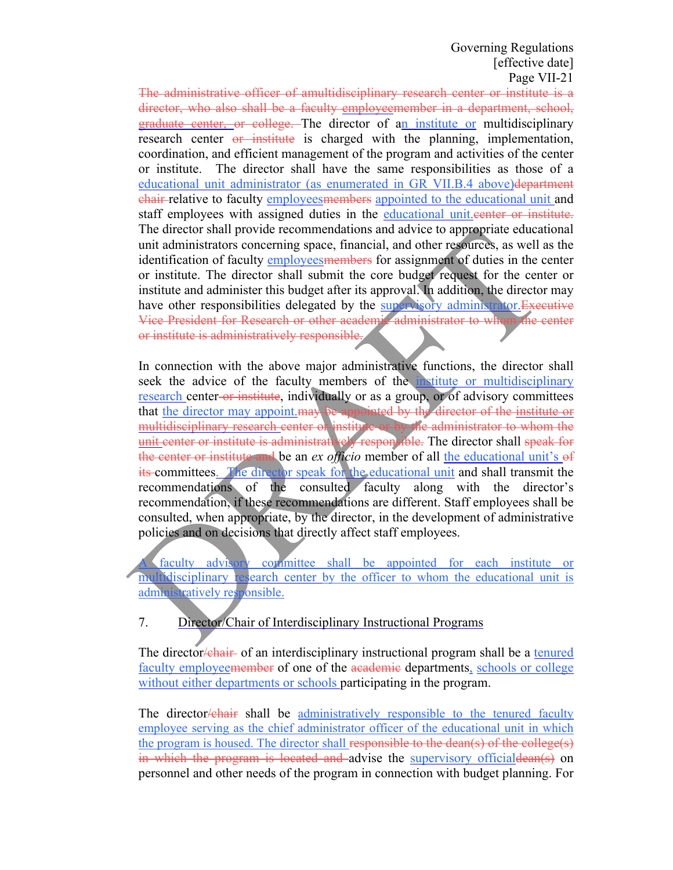The administrative officer of amultidisciplinary research center or institute is a director, who also shall be a faculty employeemember in a department, school, graduate center, or college. The director of an institute or multidisciplinary research center or institute is charged with the planning, implementation, coordination, and efficient management of the program and activities of the center or institute. The director shall have the same responsibilities as those of a educational unit administrator (as enumerated in GR VII.B.4 above) department chair relative to faculty employeesmembers appointed to the educational unit and staff employees with assigned duties in the educational unit. eenter or institute. The director shall provide recommendations and advice to appropriate educational unit administrators concerning space, financial, and other resources, as well as the identification of faculty employees members for assignment of duties in the center or institute. The director shall submit the core budget request for the center or institute and administer this budget after its approval. In addition, the director may have other responsibilities delegated by the supervisory administrator. Executive Vice President for Research or other academic administrator to whom the center or institute is administratively responsible.

In connection with the above major administrative functions, the director shall seek the advice of the faculty members of the institute or multidisciplinary research center-or institute, individually or as a group, or of advisory committees that the director may appoint may be appointed by the director of the institute or multidisciplinary research center or institute or by the administrator to whom the unit center or institute is administratively responsible. The director shall speak for the center or institute and be an *ex officio* member of all the educational unit's of its committees. The director speak for the educational unit and shall transmit the recommendations of the consulted faculty along with the director's recommendation, if these recommendations are different. Staff employees shall be consulted, when appropriate, by the director, in the development of administrative policies and on decisions that directly affect staff employees.

faculty advisory committee shall be appointed for each institute or multidisciplinary research center by the officer to whom the educational unit is administratively responsible.

# 7. Director/Chair of Interdisciplinary Instructional Programs

The director/chair of an interdisciplinary instructional program shall be a tenured faculty employeemember of one of the academic departments, schools or college without either departments or schools participating in the program.

The director/chair shall be administratively responsible to the tenured faculty employee serving as the chief administrator officer of the educational unit in which the program is housed. The director shall responsible to the dean(s) of the college(s) in which the program is located and advise the supervisory official dean(s) on personnel and other needs of the program in connection with budget planning. For